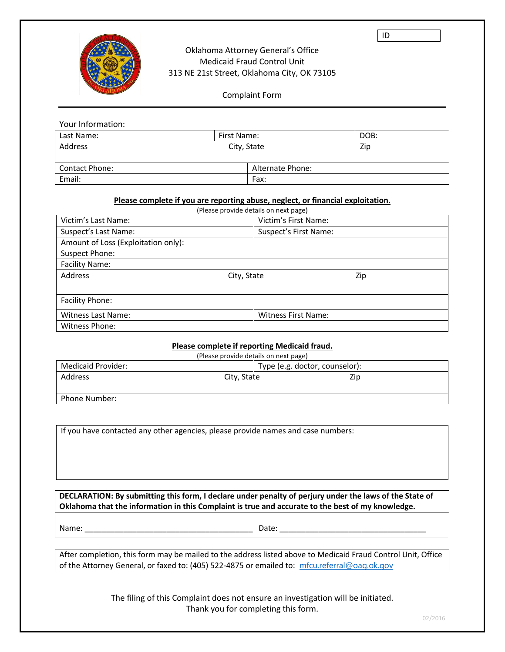ID



## Oklahoma Attorney General's Office Medicaid Fraud Control Unit 313 NE 21st Street, Oklahoma City, OK 73105

Complaint Form j

| Your Information:     |             |                  |  |
|-----------------------|-------------|------------------|--|
| Last Name:            | First Name: | DOB:             |  |
| Address               | City, State | Zip              |  |
|                       |             |                  |  |
| <b>Contact Phone:</b> |             | Alternate Phone: |  |
| Email:                | Fax:        |                  |  |

## **Please complete if you are reporting abuse, neglect, or financial exploitation.**

|                                                         | (Please provide details on next page) |  |
|---------------------------------------------------------|---------------------------------------|--|
| Victim's Last Name:                                     | Victim's First Name:                  |  |
| Suspect's Last Name:                                    | Suspect's First Name:                 |  |
| Amount of Loss (Exploitation only):                     |                                       |  |
| Suspect Phone:                                          |                                       |  |
| Facility Name:                                          |                                       |  |
| <b>Address</b>                                          | City, State<br>Zip                    |  |
|                                                         |                                       |  |
| Facility Phone:                                         |                                       |  |
| <b>Witness Last Name:</b><br><b>Witness First Name:</b> |                                       |  |
| Witness Phone:                                          |                                       |  |

## **Please complete if reporting Medicaid fraud.**

(Please provide details on next page)

|                    | If ideas provide actually on fight page, |                                |  |  |  |
|--------------------|------------------------------------------|--------------------------------|--|--|--|
| Medicaid Provider: |                                          | Type (e.g. doctor, counselor): |  |  |  |
| Address            | City, State                              | Zip                            |  |  |  |
| Phone Number:      |                                          |                                |  |  |  |

If you have contacted any other agencies, please provide names and case numbers:

**DECLARATION: By submitting this form, I declare under penalty of perjury under the laws of the State of Oklahoma that the information in this Complaint is true and accurate to the best of my knowledge.**

Name: \_\_\_\_\_\_\_\_\_\_\_\_\_\_\_\_\_\_\_\_\_\_\_\_\_\_\_\_\_\_\_\_\_\_\_\_\_\_\_ Date: \_\_\_\_\_\_\_\_\_\_\_\_\_\_\_\_\_\_\_\_\_\_\_\_\_\_\_\_\_\_\_\_\_\_

After completion, this form may be mailed to the address listed above to Medicaid Fraud Control Unit, Office of the Attorney General, or faxed to: (405) 522-4875 or emailed to: [mfcu.referral@oag.ok.gov](mailto:mfcu.referral@oag.ok.gov)

> The filing of this Complaint does not ensure an investigation will be initiated. Thank you for completing this form.